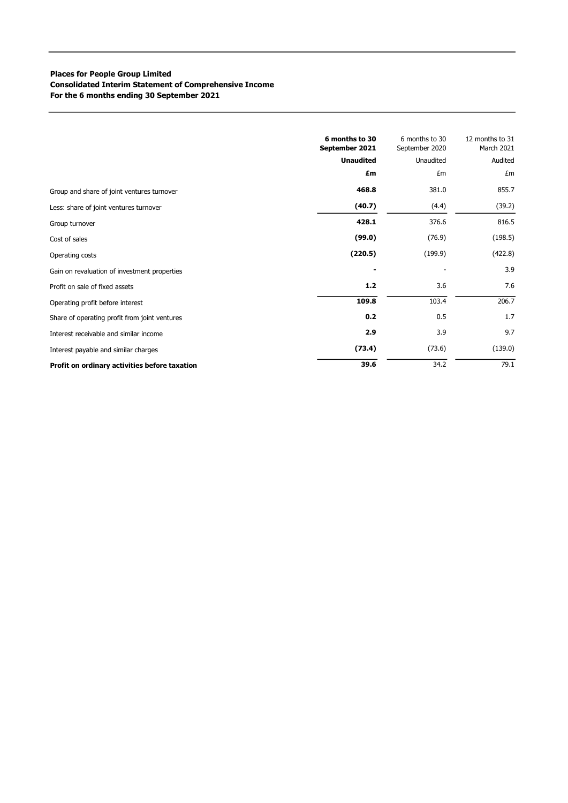## Places for People Group Limited Consolidated Interim Statement of Comprehensive Income For the 6 months ending 30 September 2021

|                                               | 6 months to 30<br>September 2021 | 6 months to 30<br>September 2020 | 12 months to 31<br>March 2021 |
|-----------------------------------------------|----------------------------------|----------------------------------|-------------------------------|
|                                               | <b>Unaudited</b>                 | Unaudited                        | Audited                       |
|                                               | £m                               | £m                               | £m                            |
| Group and share of joint ventures turnover    | 468.8                            | 381.0                            | 855.7                         |
| Less: share of joint ventures turnover        | (40.7)                           | (4.4)                            | (39.2)                        |
| Group turnover                                | 428.1                            | 376.6                            | 816.5                         |
| Cost of sales                                 | (99.0)                           | (76.9)                           | (198.5)                       |
| Operating costs                               | (220.5)                          | (199.9)                          | (422.8)                       |
| Gain on revaluation of investment properties  |                                  |                                  | 3.9                           |
| Profit on sale of fixed assets                | $1.2$                            | 3.6                              | 7.6                           |
| Operating profit before interest              | 109.8                            | 103.4                            | 206.7                         |
| Share of operating profit from joint ventures | 0.2                              | 0.5                              | 1.7                           |
| Interest receivable and similar income        | 2.9                              | 3.9                              | 9.7                           |
| Interest payable and similar charges          | (73.4)                           | (73.6)                           | (139.0)                       |
| Profit on ordinary activities before taxation | 39.6                             | 34.2                             | 79.1                          |